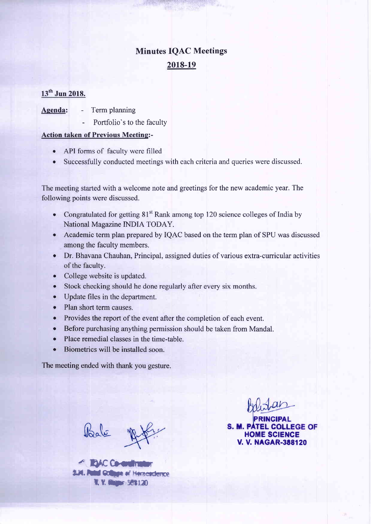# **Minutes IOAC Meetings** 2018-19

## 13<sup>th</sup> Jun 2018.

- Agenda: Term planning
	- Portfolio's to the faculty

#### Action taken of Previous Meeting:-

- API forms of faculty were filled
- . Successfully conducted meetings with each criteria and queries were discussed.

The meeting started with a welcome note and greetings for the new academic year. The following points were discussed.

- Congratulated for getting  $81<sup>st</sup>$  Rank among top 120 science colleges of India by National Magazine INDIA TODAY.
- o Academic term plan prepared by IQAC based on the term plan of SPU was discussed among the faculty members.
- Dr. Bhavana Chauhan, Principal, assigned duties of various extra-curricular activities of the faculty.
- . College website is updated.
- Stock checking should he done regularly after every six months.
- . Update files in the department.
- Plan short term causes.
- o Provides the report of the event after the completion of each event.
- Before purchasing anything permission should be taken from Mandal.
- Place remedial classes in the time-table.
- Biometrics will be installed soon.

The meeting ended with thank you gesture.

Vaale

**4' BAC Co-en** a.i.v. Putul Gottinge of Hernerderroe

**LEGE OF** HOME SCIENCE **V. V. NAGAR-388120**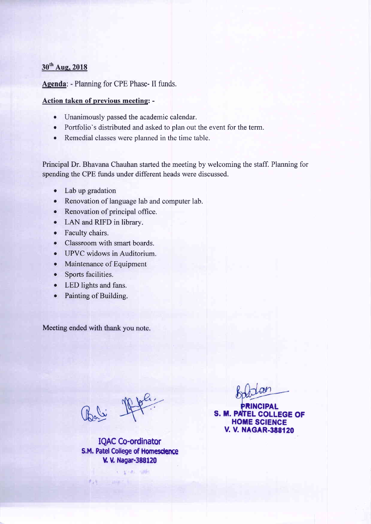## 30<sup>th</sup> Aug, 2018

Agenda: - Planning for CPE Phase- II funds.

#### Action taken of previous meeting: -

- o Unanimously passed the academic calendar.
- o Portfolio's distributed and asked to plan out the event for the term.
- o Remedial classes were planned in the time table.

Principal Dr. Bhavana Chauhan started the meeting by welcoming the staff. Planning for spending the CPE funds under different heads were discussed.

- Lab up gradation
- o Renovation of language lab and computer lab.
- Renovation of principal office.
- o LAN and RIFD in library.
- Faculty chairs.
- Classroom with smart boards.
- o UPVC widows in Auditorium.
- Maintenance of Equipment
- Sports facilities.
- LED lights and fans.
- Painting of Building.

Meeting ended with thank you note.

Rali 1969

 $f_{AB}$ 

IQAC Co-ordinator S.M. Patel College of Homesdence V. V. Nagar-388120

 $x - y - z = -1$ 

**COLLEGE OF HOME SCIENCE V. V. NAGAR-388120**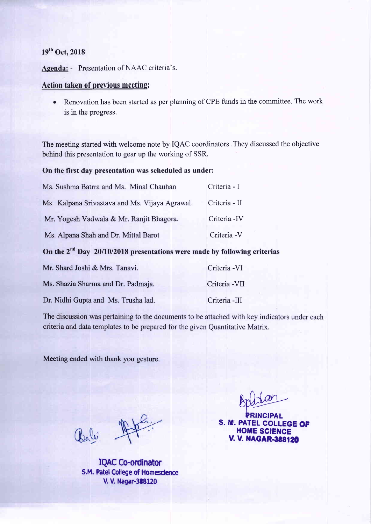## $19<sup>th</sup>$  Oct, 2018

Agenda: - Presentation of NAAC criteria's.

#### Action taken of previous meetinq:

o Renovation has been started as per planning of CPE funds in the committee. The work is in the progress.

The meeting started with welcome note by IQAC coordinators .They discussed the objective behind this presentation to gear up the working of SSR.

#### On the first day presentation was scheduled as under:

| Ms. Sushma Batrra and Ms. Minal Chauhan        | Criteria - I  |
|------------------------------------------------|---------------|
| Ms. Kalpana Srivastava and Ms. Vijaya Agrawal. | Criteria - II |
| Mr. Yogesh Vadwala & Mr. Ranjit Bhagora.       | Criteria - IV |
| Ms. Alpana Shah and Dr. Mittal Barot           | Criteria - V  |

## On the  $2^{nd}$  Day 20/10/2018 presentations were made by following criterias

| Mr. Shard Joshi & Mrs. Tanavi.      | Criteria - VI  |
|-------------------------------------|----------------|
| Ms. Shazia Sharma and Dr. Padmaja.  | Criteria - VII |
| Dr. Nidhi Gupta and Ms. Trusha lad. | Criteria -III  |

The discussion was pertaining to the documents to be attached with key indicators under each criteria and data templates to be prepared for the given Quantitative Matrix.

Meeting ended with thank you gesture.

Bali 15

IQAC Co-ordinator S.M. Patel College of Homescience V. V. Nagar-388120

 $g_{\text{p}}$ 

PRINCIPAL S. M. PATEL COLLEGE OF **HOME SCIENCE V. V. NAGAR-388120**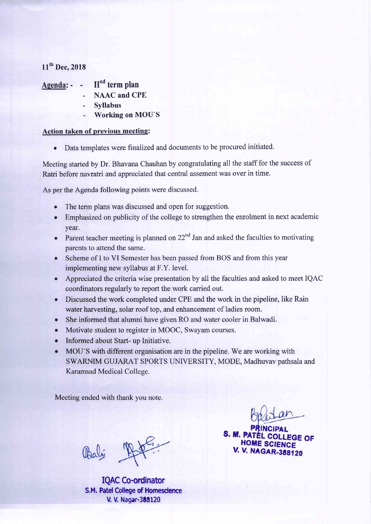## 11<sup>th</sup> Dec, 2018

## Agenda:  $\mathbf{H}^{\text{nd}}$  term plan

- NAAC and CPE
- Syllabus
- Working on MOU'S

## Action taken of previous meeting:

o Data templates were finalized and documents to be procured initiated.

Meeting started by Dr. Bhavana Chauhan by congratulating all the staff for the success of Ratri before navratri and appreciated that central assement was over in time.

As per the Agenda following points were discussed.

- The term plans was discussed and open for suggestion.
- . Emphasized on publicity of the college to strengthen the enrolment in next academic year.
- Parent teacher meeting is planned on  $22<sup>nd</sup>$  Jan and asked the faculties to motivating parents to attend the same.
- Scheme of I to VI Semester has been passed from BOS and from this year implementing new syllabus at F.Y. level.
- Appreciated the criteria wise presentation by all the faculties and asked to meet IQAC coordinators regularly to report the work carried out.
- o Discussed the work completed under CPE and the work in the pipeline, like Rain water harvesting, solar roof top, and enhancement of ladies room.
- . She informed that alumni have given RO and water cooler in Balwadi.
- Motivate student to register in MOOC, Swayam courses.
- o Informed about Start- up Initiative.
- MOU'S with different organisation are in the pipeline. We are working with SWARNIM GUJARAT SPORTS UNIVERSITY, MODE, Madhuvav pathsala and Karamsad Medical College.

Meeting ended with thank you note.

Valle

IQAC Co-ordinator S.M. Patel College of Homescience V. V. Nagar-388120

 $\mathsf{is}\ \mathsf{or}\ \mathsf{or}\ \mathsf{or}\ \mathsf{or}\ \mathsf{or}\ \mathsf{or}\ \mathsf{or}\ \mathsf{or}\ \mathsf{or}\ \mathsf{or}\ \mathsf{or}\ \mathsf{or}\ \mathsf{or}\ \mathsf{or}\ \mathsf{or}\ \mathsf{or}\ \mathsf{or}\ \mathsf{or}\ \mathsf{or}\ \mathsf{or}\ \mathsf{or}\ \mathsf{or}\ \mathsf{or}\ \mathsf{or}\ \mathsf{or}\ \mathsf{or}\ \mathsf{or}\ \mathsf{or}\ \mathsf{or}\ \mathsf{or}\ \mathsf{or}\ \mathsf{or}\ \mathsf{or}\ \mathsf{or}\ \mathsf{or}\ \mathsf{$ HOME SCIENCE **V. V. NAGAR-388120**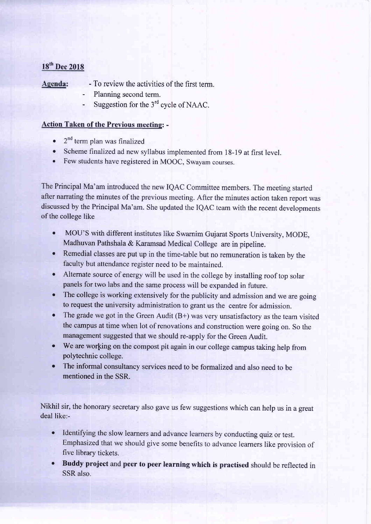## 18<sup>th</sup> Dec 2018

Agenda: - To review the activities of the first term.

- Planning second term.
- Suggestion for the 3<sup>rd</sup> cycle of NAAC.

## Action Taken of the Previous meeting: -

- $\bullet$   $2^{nd}$  term plan was finalized
- . Scheme finalized ad new syllabus implemented from l8-19 at first level.
- o Few students have registered in MOOC, Swayam courses.

The Principal Ma'am introduced the new IQAC Committee members. The meeting started after narrating the minutes of the previous meeting. After the minutes action taken report was discussed by the Principal Ma'am. She updated the IQAC team with the recent developments of the college like

- MOU'S with different institutes like Swarnim Gujarat Sports University, MODE, Madhuvan Pathshala  $&$  Karamsad Medical College are in pipeline.
- o Remedial classes are put up in the time-table but no remuneration is taken by the faculty but attendance register need to be maintained.
- o Altemate source of energy will be used in the college by installing roof top solar panels for two labs and the same process will be expanded in future.
- The college is working extensively for the publicity and admission and we are going to request the university administration to grant us the centre for admission.
- The grade we got in the Green Audit  $(B+)$  was very unsatisfactory as the team visited the campus at time when lot of renovations and construction were going on. So the management suggested that we should re-apply for the Green Audit.
- We are working on the compost pit again in our college campus taking help from polytechnic college.
- o The informal consultancy services need to be formalized and also need to be mentioned in the SSR.

Nikhil sir, the honorary secretary also gave us few suggestions which can help us in a great deal like:-

- o Identifying the slow learners and advance learners by conducting quiz or test. Emphasized that we should give some benefits to advance learners like provision of five library tickets.
- o Buddy project and peer to peer learning which is practised should be reflected in SSR also,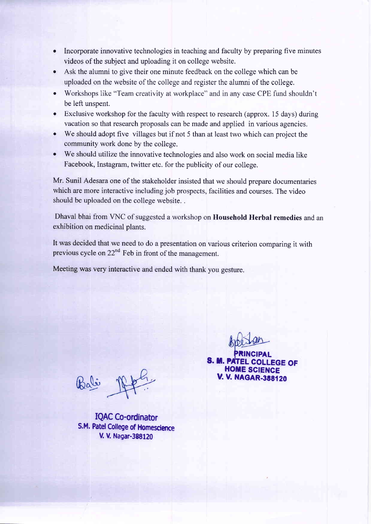- Incorporate innovative technologies in teaching and faculty by preparing five minutes videos of the subject and uploading it on college website.
- o Ask the alumni to give their one minute feedback on the college which can be uploaded on the website of the college and register the alumni of the college.
- . Workshops like "Team creativity at workplace" and in any case CPE fund shouldn't be left unspent.
- Exclusive workshop for the faculty with respect to research (approx. 15 days) during vacation so that research proposals can be made and applied in various agencies.
- . We should adopt five villages but if not 5 than at least two which can project the community work done by the college.
- o We should utilize the innovative technologies and also work on social media like Facebook, Instagram, twitter etc. for the publicity of our college.

Mr. Sunil Adesara one of the stakeholder insisted that we should prepare documentaries which are more interactive including job prospects, facilities and courses. The video should be uploaded on the college website. .

Dhaval bhai from VNC of suggested a workshop on Household Herbal remedies and an exhibition on medicinal plants.

It was decided that we need to do a presentation on various criterion comparing it with previous cycle on  $22<sup>nd</sup>$  Feb in front of the management.

Meeting was very interactive and ended with thank you gesture.

 $B_0$ li  $\mathbb{R}$  philips  $\mathbb{R}$  v. v. NAGAR-388120

IQAC Co-ordinator S.M. Patel College of Homescience V. V. Nagar-388120

**PRINCIPAL S. M. PATEL COLLEGE OF HOME SCIENCE**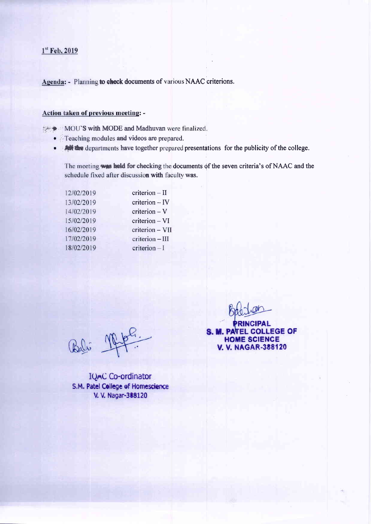## $1<sup>st</sup>$  Feb, 2019

Agenda: - Planning to check documents of various NAAC criterions.

#### Action taken of previous meeting: -

MOU'S with MODE and Madhuvan were finalized.

- Teaching modules and videos are prepared.
- **All the** departments have together prepared presentations for the publicity of the college.

The meeting was held for checking the documents of the seven criteria's of NAAC and the schedule fixed after discussion with faculty was.

| 12/02/2019 | $criterion - II$ |
|------------|------------------|
| 13/02/2019 | criterion - IV   |
| 14/02/2019 | $criterion - V$  |
| 15/02/2019 | criterion - VI   |
| 16/02/2019 | criterion - VII  |
| 17/02/2019 | criterion - III  |
| 18/02/2019 | $criterion - I$  |
|            |                  |

Bali 1949

**IQAC Co-ordinator** S.M. Patel College of Homescience V. V. Nagar-388120

CIPAL S. M. PATEL COLLEGE OF **HOME SCIENCE V. V. NAGAR-388120**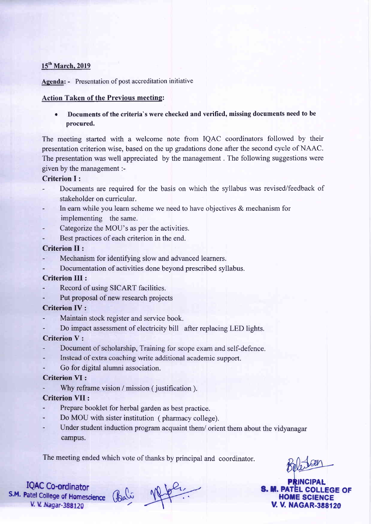#### 15<sup>th</sup> March, 2019

Agenda: - Presentation of post accreditation initiative

#### Action Taken of the Previous meeting:

Documents of the criteria's were checked and verified, missing documents need to be procured.

The meeting started with a welcome note from IQAC coordinators followed by their presentation criterion wise, based on the up gradations done after the second cycle of NAAC. The presentation was well appreciated by the management . The following suggestions were given by the management :-

#### Criterion I :

- Documents are required for the basis on which the syllabus was revised/feedback of stakeholder on curricular.
- In earn while you learn scheme we need to have objectives  $\&$  mechanism for implementing the same.
- Categorize the MOU's as per the activities.
- Best practices of each criterion in the end.

#### Criterion II :

- Mechanism for identifying slow and advanced learners.
- Documentation of activities done beyond prescribed syllabus.

#### Criterion III :

- Record of using SICART facilities.
- Put proposal of new research projects

## Criterion IV :

- Maintain stock register and service book.
- Do impact assessment of electricity bill after replacing LED lights.

## Criterion V :

- Document of scholarship, Training for scope exam and self-defence.
- Instead of extra coaching write additional academic support.
- Go for digital alumni association.

## Criterion VI :

Why reframe vision / mission ( justification ).

## Criterion VII :

- Prepare booklet for herbal garden as best practice.
- Do MOU with sister institution ( pharmacy college).
- Under student induction program acquaint them/ orient them about the vidyanagar campus.

The meeting ended which vote of thanks by principal and coordinator.

NGIPAL **S. M. PATEL COLLEGE OF HOME SCIENCE V. V. NAGAR-388120** 

IQAC Co-ordinator<br>S.M. Patel College of Homescience<br>V. V. Nagar-388120